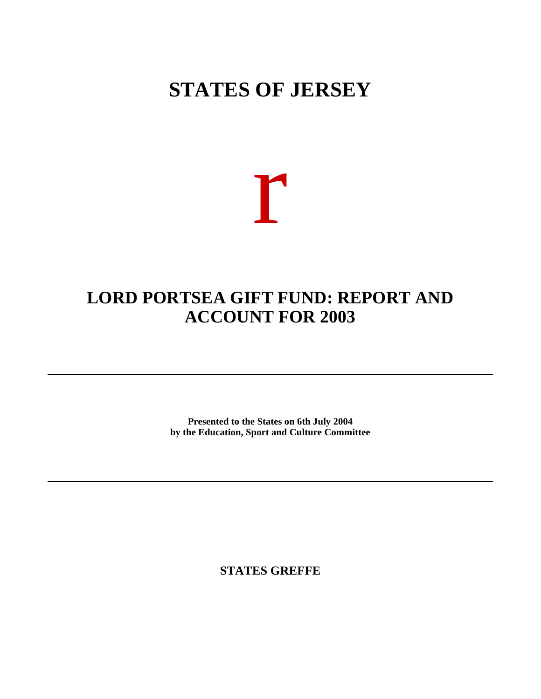## **STATES OF JERSEY**

# r

### **LORD PORTSEA GIFT FUND: REPORT AND ACCOUNT FOR 2003**

**Presented to the States on 6th July 2004 by the Education, Sport and Culture Committee**

**STATES GREFFE**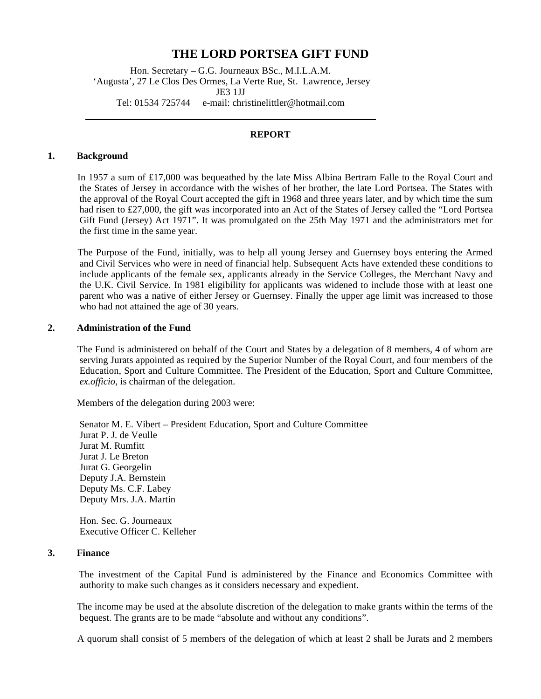#### **THE LORD PORTSEA GIFT FUND**

Hon. Secretary – G.G. Journeaux BSc., M.I.L.A.M. 'Augusta', 27 Le Clos Des Ormes, La Verte Rue, St. Lawrence, Jersey JE3 1JJ Tel: 01534 725744 e-mail: [christinelittler@hotmail.com](mailto:christinelittler@hotmail.com)

#### **REPORT**

#### **1. Background**

 In 1957 a sum of £17,000 was bequeathed by the late Miss Albina Bertram Falle to the Royal Court and the States of Jersey in accordance with the wishes of her brother, the late Lord Portsea. The States with the approval of the Royal Court accepted the gift in 1968 and three years later, and by which time the sum had risen to £27,000, the gift was incorporated into an Act of the States of Jersey called the "Lord Portsea Gift Fund (Jersey) Act 1971". It was promulgated on the 25th May 1971 and the administrators met for the first time in the same year.

 The Purpose of the Fund, initially, was to help all young Jersey and Guernsey boys entering the Armed and Civil Services who were in need of financial help. Subsequent Acts have extended these conditions to include applicants of the female sex, applicants already in the Service Colleges, the Merchant Navy and the U.K. Civil Service. In 1981 eligibility for applicants was widened to include those with at least one parent who was a native of either Jersey or Guernsey. Finally the upper age limit was increased to those who had not attained the age of 30 years.

#### **2. Administration of the Fund**

 The Fund is administered on behalf of the Court and States by a delegation of 8 members, 4 of whom are serving Jurats appointed as required by the Superior Number of the Royal Court, and four members of the Education, Sport and Culture Committee. The President of the Education, Sport and Culture Committee, *ex.officio*, is chairman of the delegation.

Members of the delegation during 2003 were:

Senator M. E. Vibert – President Education, Sport and Culture Committee Jurat P. J. de Veulle Jurat M. Rumfitt Jurat J. Le Breton Jurat G. Georgelin Deputy J.A. Bernstein Deputy Ms. C.F. Labey Deputy Mrs. J.A. Martin

Hon. Sec. G. Journeaux Executive Officer C. Kelleher

#### **3. Finance**

 The investment of the Capital Fund is administered by the Finance and Economics Committee with authority to make such changes as it considers necessary and expedient.

 The income may be used at the absolute discretion of the delegation to make grants within the terms of the bequest. The grants are to be made "absolute and without any conditions".

A quorum shall consist of 5 members of the delegation of which at least 2 shall be Jurats and 2 members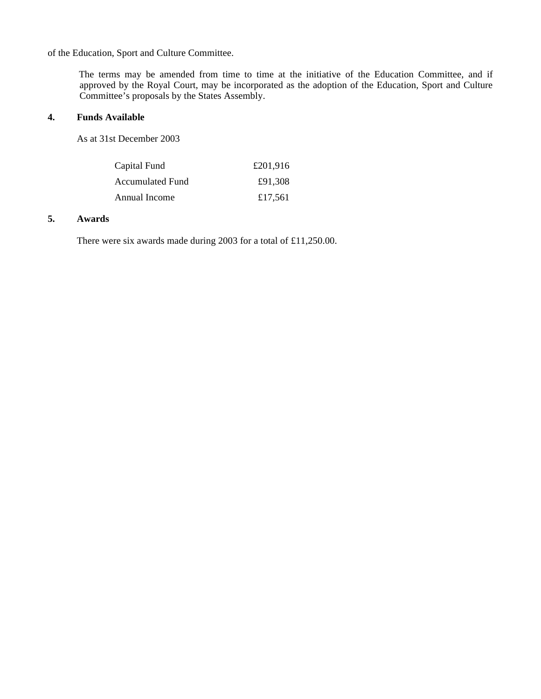of the Education, Sport and Culture Committee.

 The terms may be amended from time to time at the initiative of the Education Committee, and if approved by the Royal Court, may be incorporated as the adoption of the Education, Sport and Culture Committee's proposals by the States Assembly.

#### **4. Funds Available**

As at 31st December 2003

| Capital Fund            | £201,916 |
|-------------------------|----------|
| <b>Accumulated Fund</b> | £91.308  |
| Annual Income           | £17.561  |

#### **5. Awards**

There were six awards made during 2003 for a total of £11,250.00.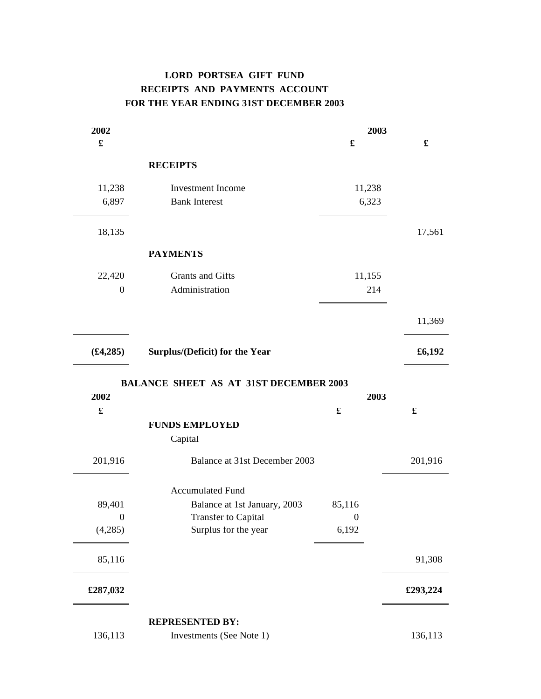#### **LORD PORTSEA GIFT FUND RECEIPTS AND PAYMENTS ACCOUNT FOR THE YEAR ENDING 31ST DECEMBER 2003**

| 2002                 |                                               | 2003             |          |
|----------------------|-----------------------------------------------|------------------|----------|
| $\pmb{\mathfrak{L}}$ |                                               | £                | £        |
|                      | <b>RECEIPTS</b>                               |                  |          |
| 11,238               | Investment Income                             | 11,238           |          |
| 6,897                | <b>Bank Interest</b>                          | 6,323            |          |
| 18,135               |                                               |                  | 17,561   |
|                      | <b>PAYMENTS</b>                               |                  |          |
| 22,420               | Grants and Gifts                              | 11,155           |          |
| $\boldsymbol{0}$     | Administration                                | 214              |          |
|                      |                                               |                  | 11,369   |
| (\$4,285)            | Surplus/(Deficit) for the Year                |                  | £6,192   |
|                      | <b>BALANCE SHEET AS AT 31ST DECEMBER 2003</b> |                  |          |
| 2002                 |                                               | 2003             |          |
| $\pmb{\mathfrak{L}}$ |                                               | £                | £        |
|                      | <b>FUNDS EMPLOYED</b>                         |                  |          |
|                      | Capital                                       |                  |          |
| 201,916              | Balance at 31st December 2003                 |                  | 201,916  |
|                      | <b>Accumulated Fund</b>                       |                  |          |
| 89,401               | Balance at 1st January, 2003                  | 85,116           |          |
| $\boldsymbol{0}$     | <b>Transfer to Capital</b>                    | $\boldsymbol{0}$ |          |
| (4,285)              | Surplus for the year                          | 6,192            |          |
| 85,116               |                                               |                  | 91,308   |
| £287,032             |                                               |                  | £293,224 |
|                      | <b>REPRESENTED BY:</b>                        |                  |          |
| 136,113              | Investments (See Note 1)                      |                  | 136,113  |